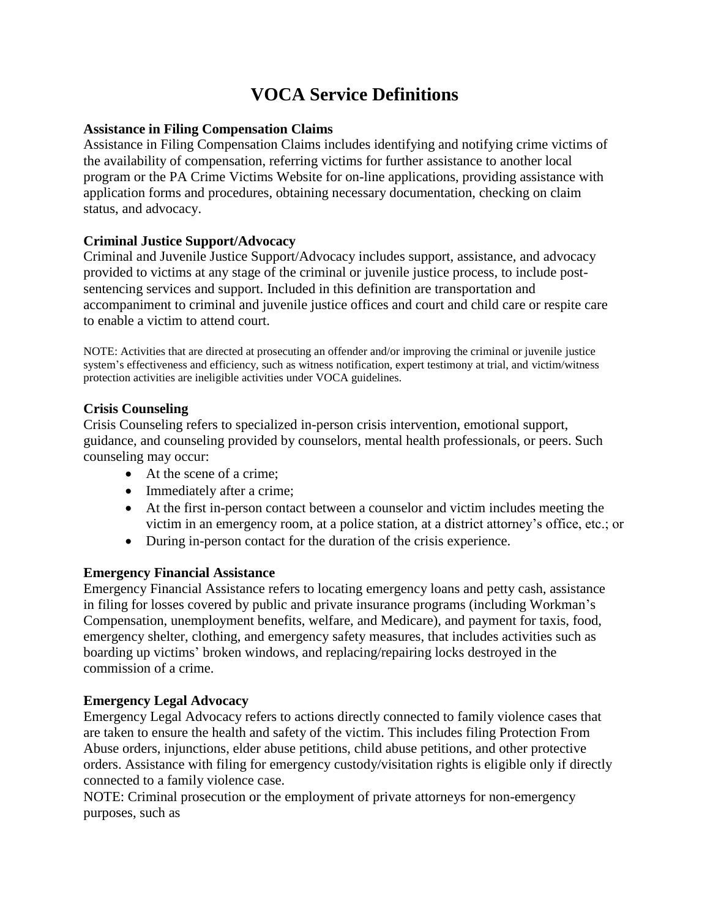# **VOCA Service Definitions**

#### **Assistance in Filing Compensation Claims**

Assistance in Filing Compensation Claims includes identifying and notifying crime victims of the availability of compensation, referring victims for further assistance to another local program or the PA Crime Victims Website for on-line applications, providing assistance with application forms and procedures, obtaining necessary documentation, checking on claim status, and advocacy.

# **Criminal Justice Support/Advocacy**

Criminal and Juvenile Justice Support/Advocacy includes support, assistance, and advocacy provided to victims at any stage of the criminal or juvenile justice process, to include postsentencing services and support. Included in this definition are transportation and accompaniment to criminal and juvenile justice offices and court and child care or respite care to enable a victim to attend court.

NOTE: Activities that are directed at prosecuting an offender and/or improving the criminal or juvenile justice system's effectiveness and efficiency, such as witness notification, expert testimony at trial, and victim/witness protection activities are ineligible activities under VOCA guidelines.

## **Crisis Counseling**

Crisis Counseling refers to specialized in-person crisis intervention, emotional support, guidance, and counseling provided by counselors, mental health professionals, or peers. Such counseling may occur:

- At the scene of a crime:
- Immediately after a crime;
- At the first in-person contact between a counselor and victim includes meeting the victim in an emergency room, at a police station, at a district attorney's office, etc.; or
- During in-person contact for the duration of the crisis experience.

#### **Emergency Financial Assistance**

Emergency Financial Assistance refers to locating emergency loans and petty cash, assistance in filing for losses covered by public and private insurance programs (including Workman's Compensation, unemployment benefits, welfare, and Medicare), and payment for taxis, food, emergency shelter, clothing, and emergency safety measures, that includes activities such as boarding up victims' broken windows, and replacing/repairing locks destroyed in the commission of a crime.

## **Emergency Legal Advocacy**

Emergency Legal Advocacy refers to actions directly connected to family violence cases that are taken to ensure the health and safety of the victim. This includes filing Protection From Abuse orders, injunctions, elder abuse petitions, child abuse petitions, and other protective orders. Assistance with filing for emergency custody/visitation rights is eligible only if directly connected to a family violence case.

NOTE: Criminal prosecution or the employment of private attorneys for non-emergency purposes, such as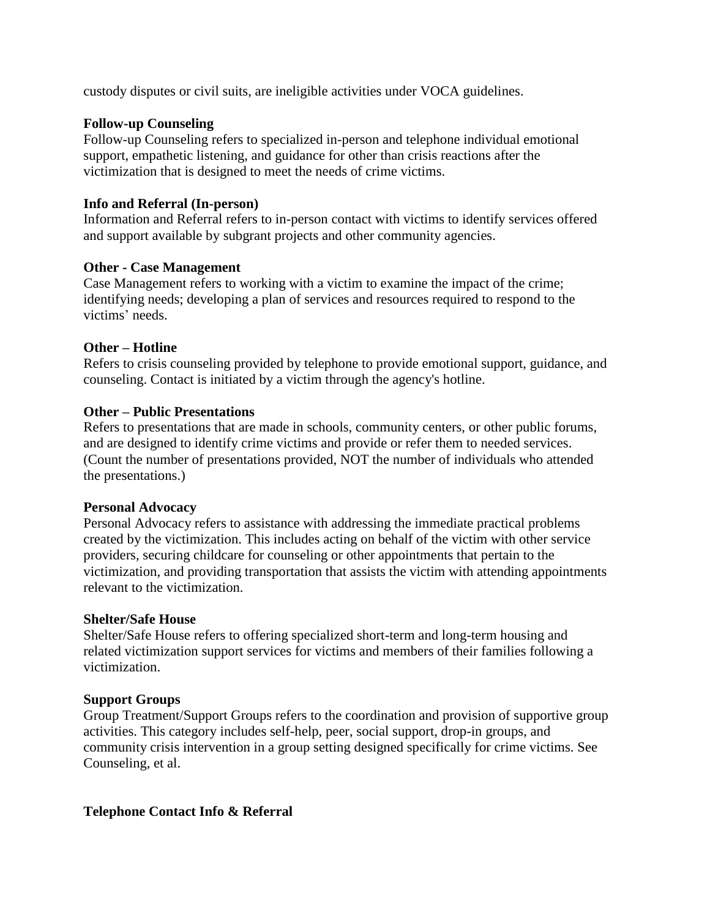custody disputes or civil suits, are ineligible activities under VOCA guidelines.

#### **Follow-up Counseling**

Follow-up Counseling refers to specialized in-person and telephone individual emotional support, empathetic listening, and guidance for other than crisis reactions after the victimization that is designed to meet the needs of crime victims.

### **Info and Referral (In-person)**

Information and Referral refers to in-person contact with victims to identify services offered and support available by subgrant projects and other community agencies.

#### **Other - Case Management**

Case Management refers to working with a victim to examine the impact of the crime; identifying needs; developing a plan of services and resources required to respond to the victims' needs.

#### **Other – Hotline**

Refers to crisis counseling provided by telephone to provide emotional support, guidance, and counseling. Contact is initiated by a victim through the agency's hotline.

#### **Other – Public Presentations**

Refers to presentations that are made in schools, community centers, or other public forums, and are designed to identify crime victims and provide or refer them to needed services. (Count the number of presentations provided, NOT the number of individuals who attended the presentations.)

#### **Personal Advocacy**

Personal Advocacy refers to assistance with addressing the immediate practical problems created by the victimization. This includes acting on behalf of the victim with other service providers, securing childcare for counseling or other appointments that pertain to the victimization, and providing transportation that assists the victim with attending appointments relevant to the victimization.

#### **Shelter/Safe House**

Shelter/Safe House refers to offering specialized short-term and long-term housing and related victimization support services for victims and members of their families following a victimization.

#### **Support Groups**

Group Treatment/Support Groups refers to the coordination and provision of supportive group activities. This category includes self-help, peer, social support, drop-in groups, and community crisis intervention in a group setting designed specifically for crime victims. See Counseling, et al.

#### **Telephone Contact Info & Referral**